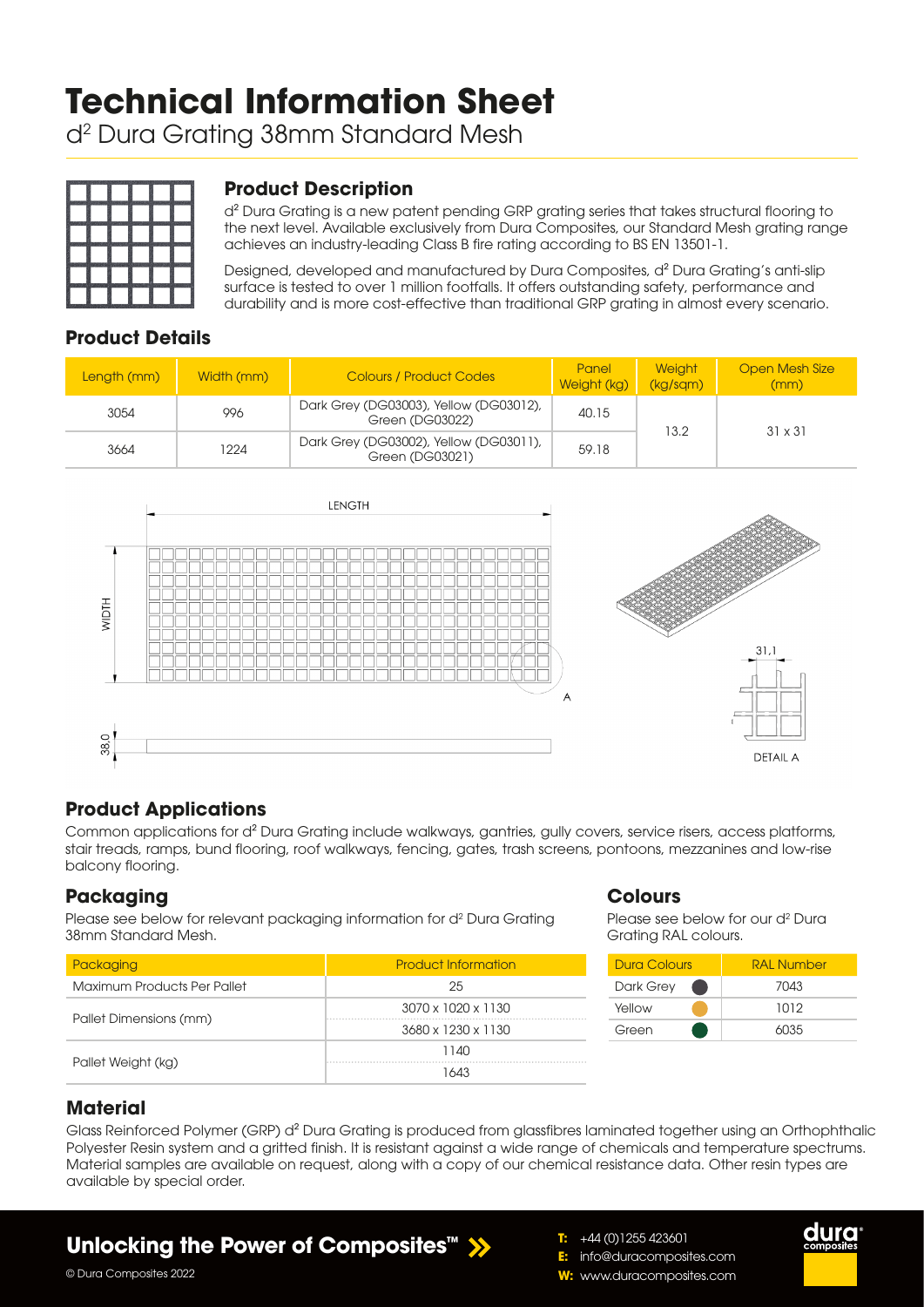# **Technical Information Sheet**

d2 Dura Grating 38mm Standard Mesh



## **Product Description**

d<sup>2</sup> Dura Grating is a new patent pending GRP grating series that takes structural flooring to the next level. Available exclusively from Dura Composites, our Standard Mesh grating range achieves an industry-leading Class B fire rating according to BS EN 13501-1.

Designed, developed and manufactured by Dura Composites, d² Dura Grating's anti-slip surface is tested to over 1 million footfalls. It offers outstanding safety, performance and durability and is more cost-effective than traditional GRP grating in almost every scenario.

## **Product Details**

| Length (mm) | Width (mm) | <b>Colours / Product Codes</b>                            | Panel<br>Weight (kg) | <b>Weight</b><br>(kg/sgm) | <b>Open Mesh Size</b><br>(mm) |  |
|-------------|------------|-----------------------------------------------------------|----------------------|---------------------------|-------------------------------|--|
| 3054        | 996        | Dark Grey (DG03003), Yellow (DG03012),<br>Green (DG03022) | 40.15                | 13.2                      | $31 \times 31$                |  |
| 3664        | 1224       | Dark Grey (DG03002), Yellow (DG03011),<br>Green (DG03021) | 59.18                |                           |                               |  |



## **Product Applications**

Common applications for d² Dura Grating include walkways, gantries, gully covers, service risers, access platforms, stair treads, ramps, bund flooring, roof walkways, fencing, gates, trash screens, pontoons, mezzanines and low-rise balcony flooring.

## **Packaging**

Please see below for relevant packaging information for d<sup>2</sup> Dura Grating 38mm Standard Mesh.

| Packaging                   | <b>Product Information</b>     |  |  |  |
|-----------------------------|--------------------------------|--|--|--|
| Maximum Products Per Pallet | 25                             |  |  |  |
|                             | $3070 \times 1020 \times 1130$ |  |  |  |
| Pallet Dimensions (mm)      | 3680 x 1230 x 1130             |  |  |  |
|                             | 1140                           |  |  |  |
| Pallet Weight (kg)          | 1643                           |  |  |  |

#### **Colours**

**T:** +44 (0)1255 423601 **E:** info@duracomposites.com **W:** www.duracomposites.com

Please see below for our d<sup>2</sup> Dura Grating RAL colours.

| Dura Colours | <b>RAI Number</b> |
|--------------|-------------------|
| Dark Grey    | 7043              |
| Yellow       | 1012              |
| Green        | 6035              |

duro

## **Material**

Glass Reinforced Polymer (GRP) d<sup>2</sup> Dura Grating is produced from glassfibres laminated together using an Orthophthalic Polyester Resin system and a gritted finish. It is resistant against a wide range of chemicals and temperature spectrums. Material samples are available on request, along with a copy of our chemical resistance data. Other resin types are available by special order.

## **Unlocking the Power of Composites™**